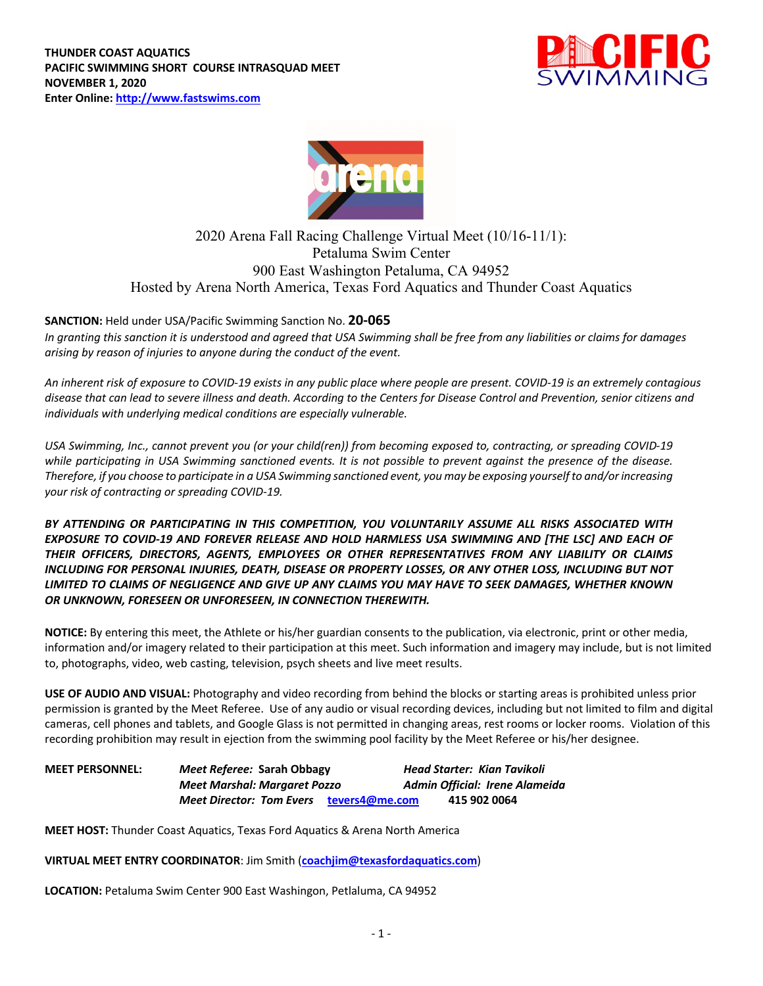



# 2020 Arena Fall Racing Challenge Virtual Meet (10/16-11/1): Petaluma Swim Center 900 East Washington Petaluma, CA 94952 Hosted by Arena North America, Texas Ford Aquatics and Thunder Coast Aquatics

## **SANCTION:** Held under USA/Pacific Swimming Sanction No. **20-065**

*In granting this sanction it is understood and agreed that USA Swimming shall be free from any liabilities or claims for damages arising by reason of injuries to anyone during the conduct of the event.* 

*An inherent risk of exposure to COVID-19 exists in any public place where people are present. COVID-19 is an extremely contagious disease that can lead to severe illness and death. According to the Centers for Disease Control and Prevention, senior citizens and individuals with underlying medical conditions are especially vulnerable.*

*USA Swimming, Inc., cannot prevent you (or your child(ren)) from becoming exposed to, contracting, or spreading COVID-19 while participating in USA Swimming sanctioned events. It is not possible to prevent against the presence of the disease. Therefore, if you choose to participate in a USA Swimming sanctioned event, you may be exposing yourself to and/or increasing your risk of contracting or spreading COVID-19.*

*BY ATTENDING OR PARTICIPATING IN THIS COMPETITION, YOU VOLUNTARILY ASSUME ALL RISKS ASSOCIATED WITH EXPOSURE TO COVID-19 AND FOREVER RELEASE AND HOLD HARMLESS USA SWIMMING AND [THE LSC] AND EACH OF THEIR OFFICERS, DIRECTORS, AGENTS, EMPLOYEES OR OTHER REPRESENTATIVES FROM ANY LIABILITY OR CLAIMS INCLUDING FOR PERSONAL INJURIES, DEATH, DISEASE OR PROPERTY LOSSES, OR ANY OTHER LOSS, INCLUDING BUT NOT LIMITED TO CLAIMS OF NEGLIGENCE AND GIVE UP ANY CLAIMS YOU MAY HAVE TO SEEK DAMAGES, WHETHER KNOWN OR UNKNOWN, FORESEEN OR UNFORESEEN, IN CONNECTION THEREWITH.*

**NOTICE:** By entering this meet, the Athlete or his/her guardian consents to the publication, via electronic, print or other media, information and/or imagery related to their participation at this meet. Such information and imagery may include, but is not limited to, photographs, video, web casting, television, psych sheets and live meet results.

**USE OF AUDIO AND VISUAL:** Photography and video recording from behind the blocks or starting areas is prohibited unless prior permission is granted by the Meet Referee. Use of any audio or visual recording devices, including but not limited to film and digital cameras, cell phones and tablets, and Google Glass is not permitted in changing areas, rest rooms or locker rooms. Violation of this recording prohibition may result in ejection from the swimming pool facility by the Meet Referee or his/her designee.

| <b>MEET PERSONNEL:</b> | Meet Referee: Sarah Obbagy          | <b>Head Starter: Kian Tavikoli</b> |  |              |  |
|------------------------|-------------------------------------|------------------------------------|--|--------------|--|
|                        | <b>Meet Marshal: Margaret Pozzo</b> | Admin Official: Irene Alameida     |  |              |  |
|                        | <b>Meet Director: Tom Evers</b>     | tevers4@me.com                     |  | 415 902 0064 |  |

**MEET HOST:** Thunder Coast Aquatics, Texas Ford Aquatics & Arena North America

**VIRTUAL MEET ENTRY COORDINATOR**: Jim Smith (**coachjim@texasfordaquatics.com**)

**LOCATION:** Petaluma Swim Center 900 East Washingon, Petlaluma, CA 94952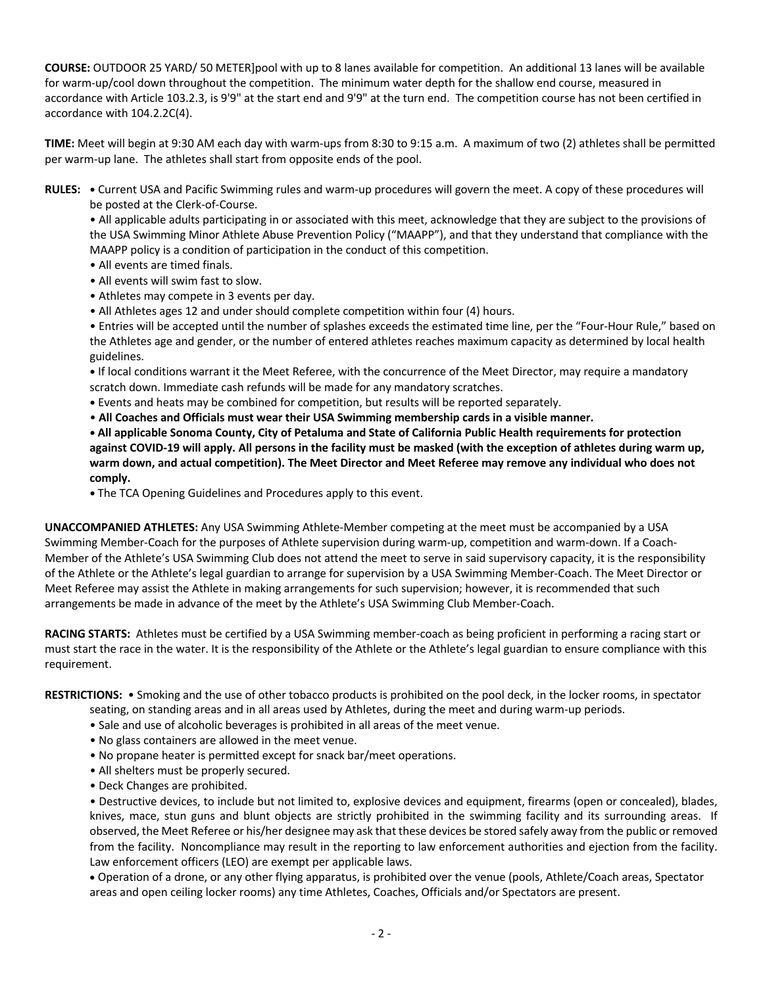**COURSE:** OUTDOOR 25 YARD/ 50 METER]pool with up to 8 lanes available for competition. An additional 13 lanes will be available for warm-up/cool down throughout the competition. The minimum water depth for the shallow end course, measured in accordance with Article 103.2.3, is 9'9" at the start end and 9'9" at the turn end. The competition course has not been certified in accordance with 104.2.2C(4).

**TIME:** Meet will begin at 9:30 AM each day with warm-ups from 8:30 to 9:15 a.m. A maximum of two (2) athletes shall be permitted per warm-up lane. The athletes shall start from opposite ends of the pool.

**RULES: •** Current USA and Pacific Swimming rules and warm-up procedures will govern the meet. A copy of these procedures will be posted at the Clerk-of-Course.

• All applicable adults participating in or associated with this meet, acknowledge that they are subject to the provisions of the USA Swimming Minor Athlete Abuse Prevention Policy ("MAAPP"), and that they understand that compliance with the MAAPP policy is a condition of participation in the conduct of this competition.

- All events are timed finals.
- All events will swim fast to slow.
- Athletes may compete in 3 events per day.
- All Athletes ages 12 and under should complete competition within four (4) hours.

• Entries will be accepted until the number of splashes exceeds the estimated time line, per the "Four-Hour Rule," based on the Athletes age and gender, or the number of entered athletes reaches maximum capacity as determined by local health guidelines.

**•** If local conditions warrant it the Meet Referee, with the concurrence of the Meet Director, may require a mandatory scratch down. Immediate cash refunds will be made for any mandatory scratches.

- **•** Events and heats may be combined for competition, but results will be reported separately.
- **All Coaches and Officials must wear their USA Swimming membership cards in a visible manner.**

**• All applicable Sonoma County, City of Petaluma and State of California Public Health requirements for protection against COVID-19 will apply. All persons in the facility must be masked (with the exception of athletes during warm up, warm down, and actual competition). The Meet Director and Meet Referee may remove any individual who does not comply.** 

**•** The TCA Opening Guidelines and Procedures apply to this event.

**UNACCOMPANIED ATHLETES:** Any USA Swimming Athlete-Member competing at the meet must be accompanied by a USA Swimming Member-Coach for the purposes of Athlete supervision during warm-up, competition and warm-down. If a Coach-Member of the Athlete's USA Swimming Club does not attend the meet to serve in said supervisory capacity, it is the responsibility of the Athlete or the Athlete's legal guardian to arrange for supervision by a USA Swimming Member-Coach. The Meet Director or Meet Referee may assist the Athlete in making arrangements for such supervision; however, it is recommended that such arrangements be made in advance of the meet by the Athlete's USA Swimming Club Member-Coach.

**RACING STARTS:** Athletes must be certified by a USA Swimming member-coach as being proficient in performing a racing start or must start the race in the water. It is the responsibility of the Athlete or the Athlete's legal guardian to ensure compliance with this requirement.

**RESTRICTIONS:** • Smoking and the use of other tobacco products is prohibited on the pool deck, in the locker rooms, in spectator

- seating, on standing areas and in all areas used by Athletes, during the meet and during warm-up periods.
	- Sale and use of alcoholic beverages is prohibited in all areas of the meet venue.
	- No glass containers are allowed in the meet venue.
	- No propane heater is permitted except for snack bar/meet operations.
	- All shelters must be properly secured.
	- Deck Changes are prohibited.

• Destructive devices, to include but not limited to, explosive devices and equipment, firearms (open or concealed), blades, knives, mace, stun guns and blunt objects are strictly prohibited in the swimming facility and its surrounding areas. If observed, the Meet Referee or his/her designee may ask that these devices be stored safely away from the public or removed from the facility. Noncompliance may result in the reporting to law enforcement authorities and ejection from the facility. Law enforcement officers (LEO) are exempt per applicable laws.

• Operation of a drone, or any other flying apparatus, is prohibited over the venue (pools, Athlete/Coach areas, Spectator areas and open ceiling locker rooms) any time Athletes, Coaches, Officials and/or Spectators are present.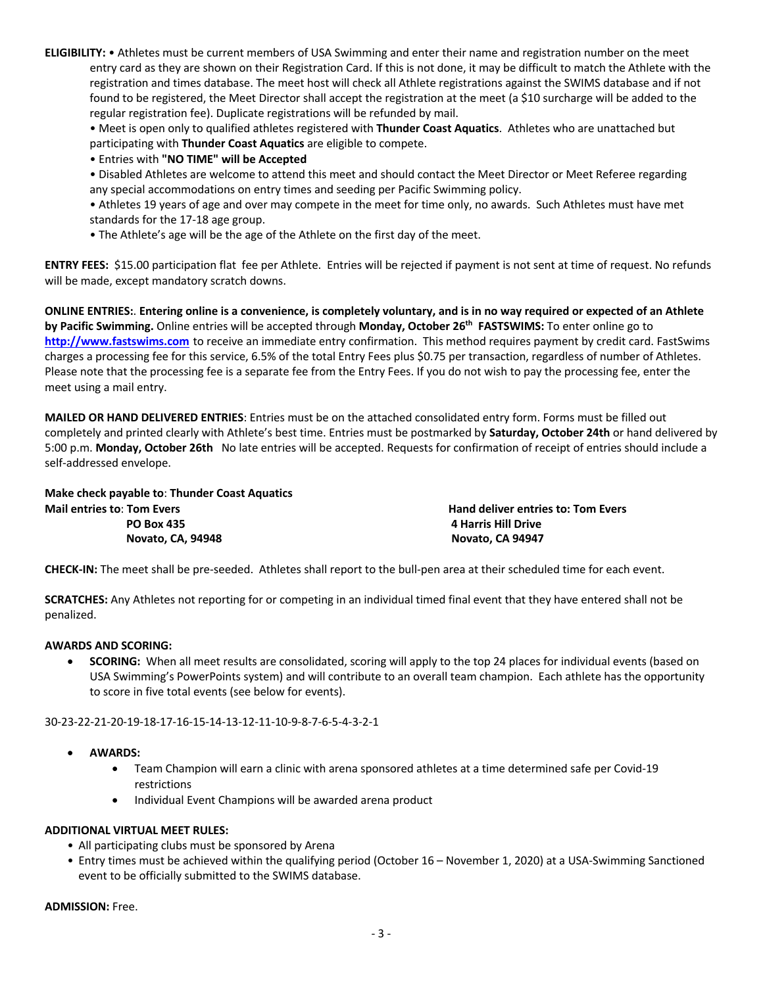**ELIGIBILITY:** • Athletes must be current members of USA Swimming and enter their name and registration number on the meet entry card as they are shown on their Registration Card. If this is not done, it may be difficult to match the Athlete with the registration and times database. The meet host will check all Athlete registrations against the SWIMS database and if not found to be registered, the Meet Director shall accept the registration at the meet (a \$10 surcharge will be added to the regular registration fee). Duplicate registrations will be refunded by mail.

• Meet is open only to qualified athletes registered with **Thunder Coast Aquatics**. Athletes who are unattached but participating with **Thunder Coast Aquatics** are eligible to compete.

- Entries with **"NO TIME" will be Accepted**
- Disabled Athletes are welcome to attend this meet and should contact the Meet Director or Meet Referee regarding any special accommodations on entry times and seeding per Pacific Swimming policy.
- Athletes 19 years of age and over may compete in the meet for time only, no awards. Such Athletes must have met standards for the 17-18 age group.
- The Athlete's age will be the age of the Athlete on the first day of the meet.

**ENTRY FEES:** \$15.00 participation flat fee per Athlete. Entries will be rejected if payment is not sent at time of request. No refunds will be made, except mandatory scratch downs.

**ONLINE ENTRIES:**. **Entering online is a convenience, is completely voluntary, and is in no way required or expected of an Athlete by Pacific Swimming.** Online entries will be accepted through **Monday, October 26th FASTSWIMS:** To enter online go to **http://www.fastswims.com** to receive an immediate entry confirmation. This method requires payment by credit card. FastSwims charges a processing fee for this service, 6.5% of the total Entry Fees plus \$0.75 per transaction, regardless of number of Athletes. Please note that the processing fee is a separate fee from the Entry Fees. If you do not wish to pay the processing fee, enter the meet using a mail entry.

**MAILED OR HAND DELIVERED ENTRIES**: Entries must be on the attached consolidated entry form. Forms must be filled out completely and printed clearly with Athlete's best time. Entries must be postmarked by **Saturday, October 24th** or hand delivered by 5:00 p.m. **Monday, October 26th** No late entries will be accepted. Requests for confirmation of receipt of entries should include a self-addressed envelope.

**Make check payable to**: **Thunder Coast Aquatics**

| <b>Mail entries to: Tom Evers</b> | <b>Hand deliver entries to: Tom Evers</b> |  |  |  |  |
|-----------------------------------|-------------------------------------------|--|--|--|--|
| <b>PO Box 435</b>                 | <b>4 Harris Hill Drive</b>                |  |  |  |  |
| Novato, CA, 94948                 | Novato, CA 94947                          |  |  |  |  |
|                                   |                                           |  |  |  |  |

**CHECK-IN:** The meet shall be pre-seeded. Athletes shall report to the bull-pen area at their scheduled time for each event.

**SCRATCHES:** Any Athletes not reporting for or competing in an individual timed final event that they have entered shall not be penalized.

#### **AWARDS AND SCORING:**

• **SCORING:** When all meet results are consolidated, scoring will apply to the top 24 places for individual events (based on USA Swimming's PowerPoints system) and will contribute to an overall team champion. Each athlete has the opportunity to score in five total events (see below for events).

30-23-22-21-20-19-18-17-16-15-14-13-12-11-10-9-8-7-6-5-4-3-2-1

- **AWARDS:**
	- Team Champion will earn a clinic with arena sponsored athletes at a time determined safe per Covid-19 restrictions
	- Individual Event Champions will be awarded arena product

#### **ADDITIONAL VIRTUAL MEET RULES:**

- All participating clubs must be sponsored by Arena
- Entry times must be achieved within the qualifying period (October 16 November 1, 2020) at a USA-Swimming Sanctioned event to be officially submitted to the SWIMS database.

#### **ADMISSION:** Free.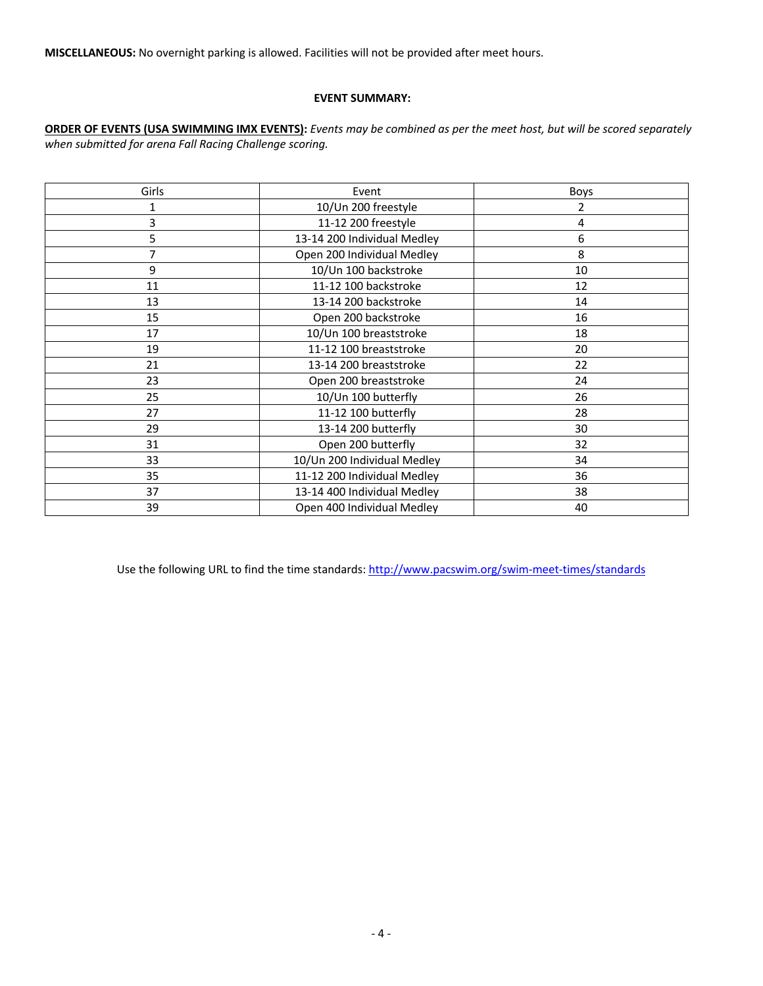**MISCELLANEOUS:** No overnight parking is allowed. Facilities will not be provided after meet hours.

### **EVENT SUMMARY:**

**ORDER OF EVENTS (USA SWIMMING IMX EVENTS):** *Events may be combined as per the meet host, but will be scored separately when submitted for arena Fall Racing Challenge scoring.*

| Girls | Event                       | Boys |  |  |
|-------|-----------------------------|------|--|--|
| 1     | 10/Un 200 freestyle         | 2    |  |  |
| 3     | 11-12 200 freestyle         | 4    |  |  |
| 5     | 13-14 200 Individual Medley | 6    |  |  |
| 7     | Open 200 Individual Medley  | 8    |  |  |
| 9     | 10/Un 100 backstroke        | 10   |  |  |
| 11    | 11-12 100 backstroke        | 12   |  |  |
| 13    | 13-14 200 backstroke        | 14   |  |  |
| 15    | Open 200 backstroke         | 16   |  |  |
| 17    | 10/Un 100 breaststroke      | 18   |  |  |
| 19    | 11-12 100 breaststroke      | 20   |  |  |
| 21    | 13-14 200 breaststroke      | 22   |  |  |
| 23    | Open 200 breaststroke       | 24   |  |  |
| 25    | 10/Un 100 butterfly         | 26   |  |  |
| 27    | 11-12 100 butterfly         | 28   |  |  |
| 29    | 13-14 200 butterfly         | 30   |  |  |
| 31    | Open 200 butterfly          | 32   |  |  |
| 33    | 10/Un 200 Individual Medley | 34   |  |  |
| 35    | 11-12 200 Individual Medley | 36   |  |  |
| 37    | 13-14 400 Individual Medley | 38   |  |  |
| 39    | Open 400 Individual Medley  | 40   |  |  |

Use the following URL to find the time standards: http://www.pacswim.org/swim-meet-times/standards